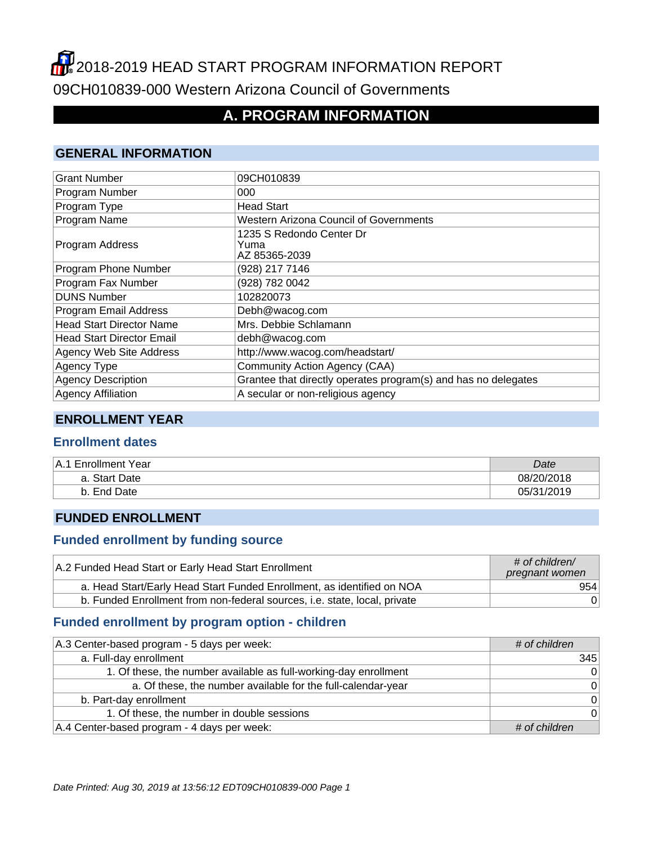# **2018-2019 HEAD START PROGRAM INFORMATION REPORT** 09CH010839-000 Western Arizona Council of Governments

## **A. PROGRAM INFORMATION**

#### **GENERAL INFORMATION**

| <b>Grant Number</b>              | 09CH010839                                                     |
|----------------------------------|----------------------------------------------------------------|
| Program Number                   | 000                                                            |
| Program Type                     | <b>Head Start</b>                                              |
| Program Name                     | <b>Western Arizona Council of Governments</b>                  |
| Program Address                  | 1235 S Redondo Center Dr<br>Yuma<br>AZ 85365-2039              |
| Program Phone Number             | (928) 217 7146                                                 |
| Program Fax Number               | (928) 782 0042                                                 |
| <b>DUNS Number</b>               | 102820073                                                      |
| Program Email Address            | Debh@wacog.com                                                 |
| <b>Head Start Director Name</b>  | Mrs. Debbie Schlamann                                          |
| <b>Head Start Director Email</b> | debh@wacog.com                                                 |
| Agency Web Site Address          | http://www.wacog.com/headstart/                                |
| Agency Type                      | Community Action Agency (CAA)                                  |
| <b>Agency Description</b>        | Grantee that directly operates program(s) and has no delegates |
| <b>Agency Affiliation</b>        | A secular or non-religious agency                              |

#### **ENROLLMENT YEAR**

#### **Enrollment dates**

| <b>Enrollment Year</b><br>⊦A.1 | Date       |
|--------------------------------|------------|
| a. Start Date                  | 08/20/2018 |
| Date<br>End<br>D.              | 05/31/2019 |

#### **FUNDED ENROLLMENT**

#### **Funded enrollment by funding source**

| A.2 Funded Head Start or Early Head Start Enrollment                      | # of children/<br>pregnant women |
|---------------------------------------------------------------------------|----------------------------------|
| a. Head Start/Early Head Start Funded Enrollment, as identified on NOA    | 954                              |
| b. Funded Enrollment from non-federal sources, i.e. state, local, private | 0 <sup>1</sup>                   |

## **Funded enrollment by program option - children**

| A.3 Center-based program - 5 days per week:                      | # of children |
|------------------------------------------------------------------|---------------|
| a. Full-day enrollment                                           | 345           |
| 1. Of these, the number available as full-working-day enrollment | 0             |
| a. Of these, the number available for the full-calendar-year     | 0             |
| b. Part-day enrollment                                           | 0             |
| 1. Of these, the number in double sessions                       | $\Omega$      |
| A.4 Center-based program - 4 days per week:                      | # of children |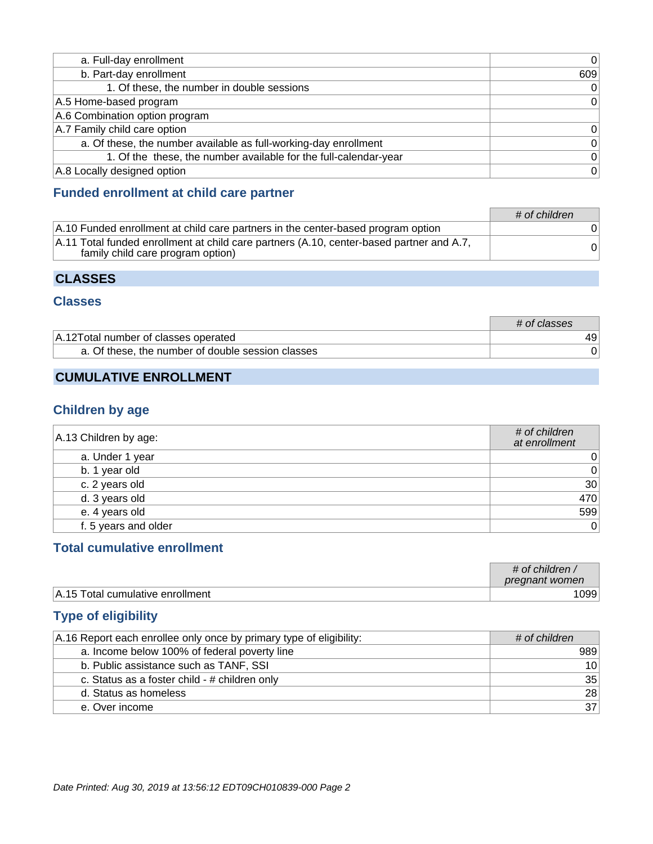| a. Full-day enrollment                                           | $\mathbf 0$  |
|------------------------------------------------------------------|--------------|
| b. Part-day enrollment                                           | 609          |
| 1. Of these, the number in double sessions                       | $\mathbf 0$  |
| A.5 Home-based program                                           | $\mathbf{0}$ |
| A.6 Combination option program                                   |              |
| A.7 Family child care option                                     | 0            |
| a. Of these, the number available as full-working-day enrollment | $\mathbf{0}$ |
| 1. Of the these, the number available for the full-calendar-year | $\Omega$     |
| A.8 Locally designed option                                      | $\mathbf 0$  |

### **Funded enrollment at child care partner**

|                                                                                                                               | # of children |
|-------------------------------------------------------------------------------------------------------------------------------|---------------|
| A.10 Funded enrollment at child care partners in the center-based program option                                              |               |
| A.11 Total funded enrollment at child care partners (A.10, center-based partner and A.7,<br>family child care program option) |               |

### **CLASSES**

#### **Classes**

|                                                   | # of classes |
|---------------------------------------------------|--------------|
| A.12 Total number of classes operated             | 49           |
| a. Of these, the number of double session classes |              |

## **CUMULATIVE ENROLLMENT**

### **Children by age**

| A.13 Children by age: | # of children<br>at enrollment   |
|-----------------------|----------------------------------|
| a. Under 1 year       | $0^{\scriptscriptstyle \dagger}$ |
| b. 1 year old         | 0                                |
| c. 2 years old        | 30                               |
| d. 3 years old        | 470                              |
| e. 4 years old        | 599                              |
| f. 5 years and older  | 0                                |

## **Total cumulative enrollment**

|                                  | $\#$ of children<br>pregnant women |
|----------------------------------|------------------------------------|
| A.15 Total cumulative enrollment | 099 <sub>1</sub>                   |

## **Type of eligibility**

| A.16 Report each enrollee only once by primary type of eligibility: | # of children   |
|---------------------------------------------------------------------|-----------------|
| a. Income below 100% of federal poverty line                        | 989             |
| b. Public assistance such as TANF, SSI                              | 10 <sup>1</sup> |
| c. Status as a foster child - # children only                       | 35              |
| d. Status as homeless                                               | 28              |
| e. Over income                                                      | 37              |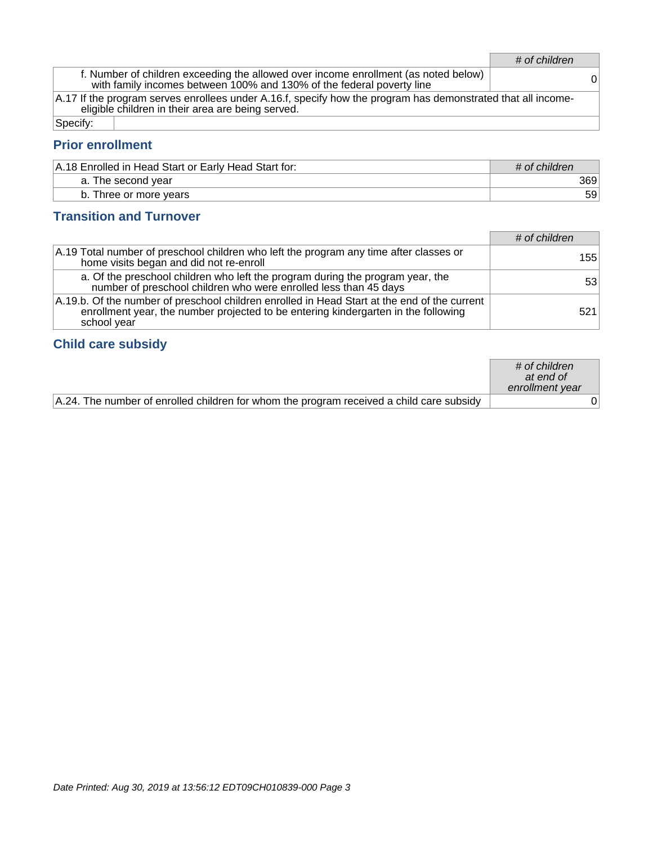# of children

f. Number of children exceeding the allowed over income enrollment (as noted below) with family incomes between 100% and 130% of the federal poverty line <sup>0</sup>

A.17 If the program serves enrollees under A.16.f, specify how the program has demonstrated that all incomeeligible children in their area are being served.

Specify:

#### **Prior enrollment**

| A.18 Enrolled in Head Start or Early Head Start for: | # of children |
|------------------------------------------------------|---------------|
| a. The second year                                   | 369           |
| b. Three or more years                               | 59            |

#### **Transition and Turnover**

|                                                                                                                                                                                                   | # of children |
|---------------------------------------------------------------------------------------------------------------------------------------------------------------------------------------------------|---------------|
| A.19 Total number of preschool children who left the program any time after classes or<br>home visits began and did not re-enroll                                                                 | 155           |
| a. Of the preschool children who left the program during the program year, the<br>number of preschool children who were enrolled less than 45 days                                                | 531           |
| A.19.b. Of the number of preschool children enrolled in Head Start at the end of the current<br>enrollment year, the number projected to be entering kindergarten in the following<br>school year | 521           |

#### **Child care subsidy**

|                                                                                          | $\#$ of children<br>at end of<br>enrollment year |  |
|------------------------------------------------------------------------------------------|--------------------------------------------------|--|
| A.24. The number of enrolled children for whom the program received a child care subsidy |                                                  |  |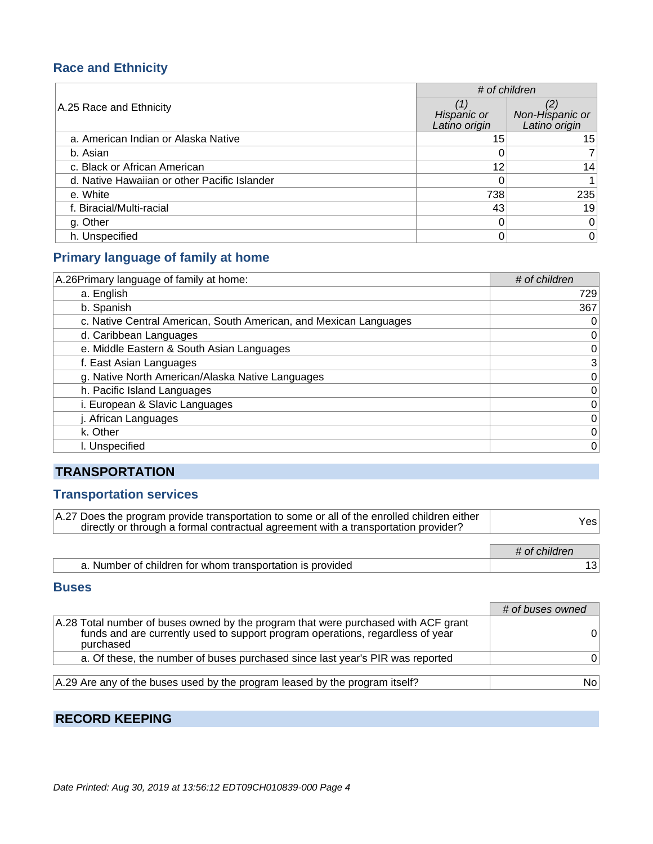## **Race and Ethnicity**

|                                              | # of children                |                                  |
|----------------------------------------------|------------------------------|----------------------------------|
| A.25 Race and Ethnicity                      | Hispanic or<br>Latino origin | Non-Hispanic or<br>Latino origin |
| a. American Indian or Alaska Native          | 15                           | 15                               |
| b. Asian                                     |                              |                                  |
| c. Black or African American                 | 12                           | 14                               |
| d. Native Hawaiian or other Pacific Islander |                              |                                  |
| e. White                                     | 738                          | 235                              |
| f. Biracial/Multi-racial                     | 43                           | 19                               |
| g. Other                                     |                              | 0                                |
| h. Unspecified                               |                              | 0                                |

## **Primary language of family at home**

| A.26 Primary language of family at home:                          | # of children |
|-------------------------------------------------------------------|---------------|
| a. English                                                        | 729           |
| b. Spanish                                                        | 367           |
| c. Native Central American, South American, and Mexican Languages | 0             |
| d. Caribbean Languages                                            | 0             |
| e. Middle Eastern & South Asian Languages                         | 0             |
| f. East Asian Languages                                           | 3             |
| g. Native North American/Alaska Native Languages                  | 0             |
| h. Pacific Island Languages                                       | $\mathbf 0$   |
| i. European & Slavic Languages                                    | $\mathbf 0$   |
| j. African Languages                                              | $\mathbf 0$   |
| k. Other                                                          | $\mathbf 0$   |
| I. Unspecified                                                    | $\mathbf 0$   |

## **TRANSPORTATION**

## **Transportation services**

| A.27 Does the program provide transportation to some or all of the enrolled children either<br>directly or through a formal contractual agreement with a transportation provider? | Yesl          |
|-----------------------------------------------------------------------------------------------------------------------------------------------------------------------------------|---------------|
|                                                                                                                                                                                   | # of children |
| a. Number of children for whom transportation is provided                                                                                                                         |               |

#### **Buses**

|                                                                                                                                                                                   | # of buses owned |
|-----------------------------------------------------------------------------------------------------------------------------------------------------------------------------------|------------------|
| A.28 Total number of buses owned by the program that were purchased with ACF grant<br>funds and are currently used to support program operations, regardless of year<br>purchased |                  |
| a. Of these, the number of buses purchased since last year's PIR was reported                                                                                                     |                  |
|                                                                                                                                                                                   |                  |
| A.29 Are any of the buses used by the program leased by the program itself?                                                                                                       | No.              |

## **RECORD KEEPING**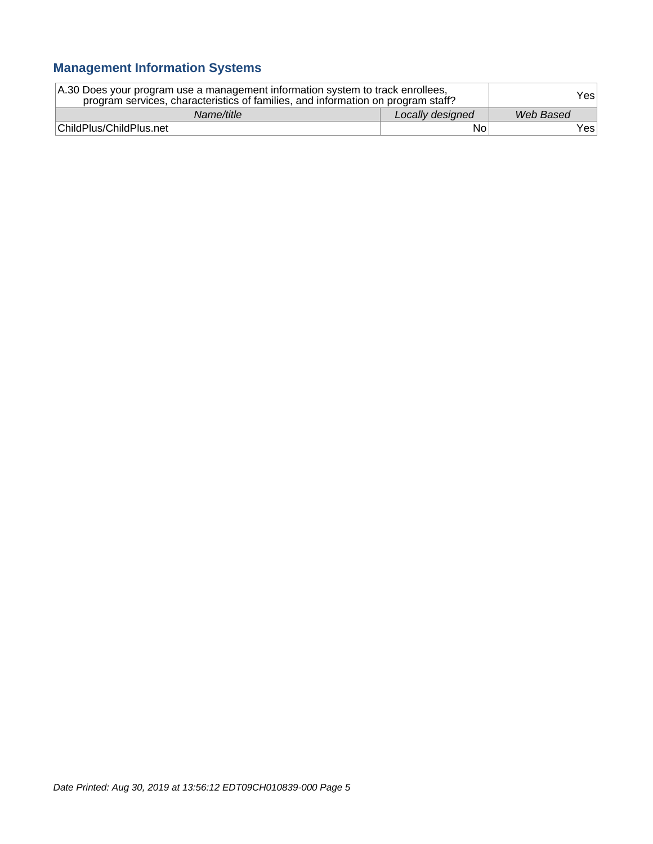## **Management Information Systems**

| A.30 Does your program use a management information system to track enrollees,<br>program services, characteristics of families, and information on program staff? |                  | Yesl      |
|--------------------------------------------------------------------------------------------------------------------------------------------------------------------|------------------|-----------|
| Name/title                                                                                                                                                         | Locally designed | Web Based |
| ChildPlus/ChildPlus.net                                                                                                                                            | No               | Yes∣      |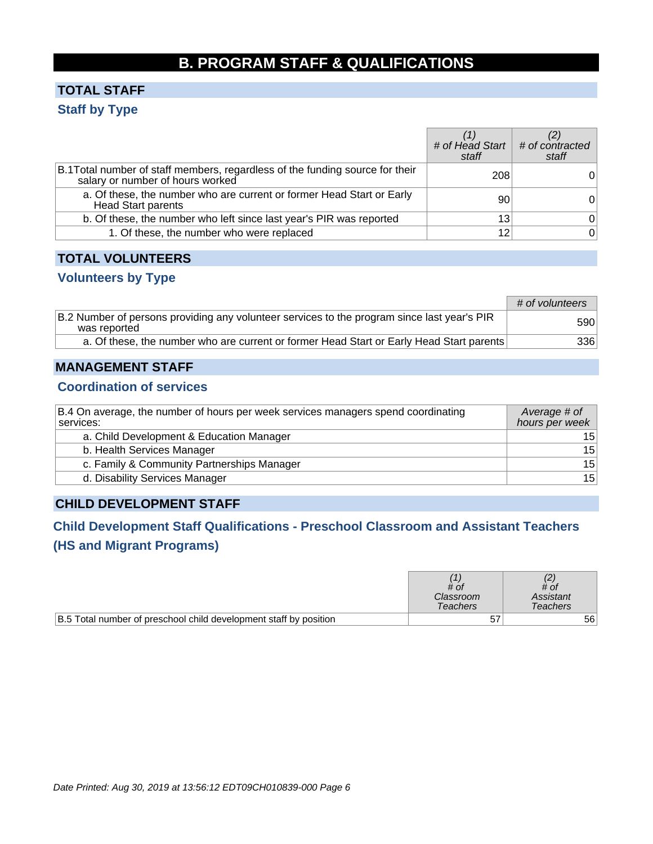## **B. PROGRAM STAFF & QUALIFICATIONS**

## **TOTAL STAFF Staff by Type**

|                                                                                                                   | # of Head Start $\mid$ # of contracted<br>staff | staff |
|-------------------------------------------------------------------------------------------------------------------|-------------------------------------------------|-------|
| B.1 Total number of staff members, regardless of the funding source for their<br>salary or number of hours worked | 208                                             |       |
| a. Of these, the number who are current or former Head Start or Early<br><b>Head Start parents</b>                | 90                                              | 0     |
| b. Of these, the number who left since last year's PIR was reported                                               | 13                                              | 01    |
| 1. Of these, the number who were replaced                                                                         | 12                                              | 0     |

#### **TOTAL VOLUNTEERS**

#### **Volunteers by Type**

|                                                                                                             | # of volunteers  |
|-------------------------------------------------------------------------------------------------------------|------------------|
| B.2 Number of persons providing any volunteer services to the program since last year's PIR<br>was reported | 590 <sub>1</sub> |
| a. Of these, the number who are current or former Head Start or Early Head Start parents                    | 336              |

#### **MANAGEMENT STAFF**

#### **Coordination of services**

| B.4 On average, the number of hours per week services managers spend coordinating<br>services: | Average # of<br>hours per week |
|------------------------------------------------------------------------------------------------|--------------------------------|
| a. Child Development & Education Manager                                                       | 15 <sub>1</sub>                |
| b. Health Services Manager                                                                     | 15                             |
| c. Family & Community Partnerships Manager                                                     | 15                             |
| d. Disability Services Manager                                                                 | 15                             |

### **CHILD DEVELOPMENT STAFF**

## **Child Development Staff Qualifications - Preschool Classroom and Assistant Teachers (HS and Migrant Programs)**

|                                                                   | # of<br>Classroom<br>Teachers | # of<br>Assistant<br>Teachers |
|-------------------------------------------------------------------|-------------------------------|-------------------------------|
| B.5 Total number of preschool child development staff by position | 57                            | 56 <sup>1</sup>               |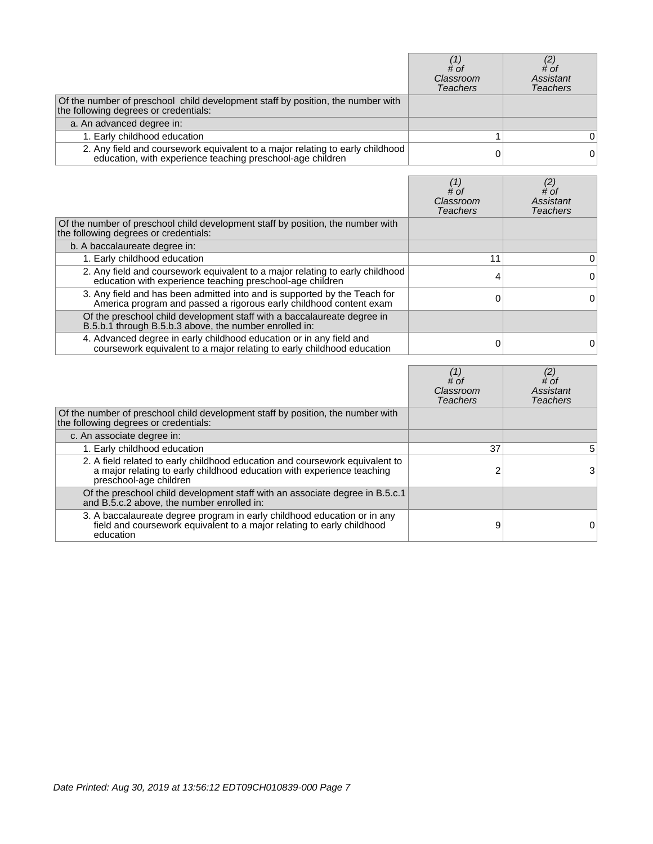|                                                                                                                                             | # of<br>Classroom<br>Teachers | $\begin{smallmatrix} (2) \\ # \text{ }$<br>Assistant<br>Teachers |
|---------------------------------------------------------------------------------------------------------------------------------------------|-------------------------------|------------------------------------------------------------------|
| Of the number of preschool child development staff by position, the number with<br>the following degrees or credentials:                    |                               |                                                                  |
| a. An advanced degree in:                                                                                                                   |                               |                                                                  |
| 1. Early childhood education                                                                                                                |                               |                                                                  |
| 2. Any field and coursework equivalent to a major relating to early childhood<br>education, with experience teaching preschool-age children |                               | 0                                                                |

|                                                                                                                                                 | # of<br>Classroom<br>Teachers | (2)<br># of<br>Assistant<br>Teachers |
|-------------------------------------------------------------------------------------------------------------------------------------------------|-------------------------------|--------------------------------------|
| Of the number of preschool child development staff by position, the number with<br>the following degrees or credentials:                        |                               |                                      |
| b. A baccalaureate degree in:                                                                                                                   |                               |                                      |
| 1. Early childhood education                                                                                                                    | 11                            | 0                                    |
| 2. Any field and coursework equivalent to a major relating to early childhood<br>education with experience teaching preschool-age children      |                               | 0                                    |
| 3. Any field and has been admitted into and is supported by the Teach for<br>America program and passed a rigorous early childhood content exam |                               | $\Omega$                             |
| Of the preschool child development staff with a baccalaureate degree in<br>B.5.b.1 through B.5.b.3 above, the number enrolled in:               |                               |                                      |
| 4. Advanced degree in early childhood education or in any field and<br>coursework equivalent to a major relating to early childhood education   |                               |                                      |

|                                                                                                                                                                                  | $#$ of<br>Classroom<br><b>Teachers</b> | $^{(2)}_{\# \text{of}}$<br>Assistant<br><b>Teachers</b> |
|----------------------------------------------------------------------------------------------------------------------------------------------------------------------------------|----------------------------------------|---------------------------------------------------------|
| Of the number of preschool child development staff by position, the number with<br>the following degrees or credentials:                                                         |                                        |                                                         |
| c. An associate degree in:                                                                                                                                                       |                                        |                                                         |
| 1. Early childhood education                                                                                                                                                     | 37                                     | 5                                                       |
| 2. A field related to early childhood education and coursework equivalent to<br>a major relating to early childhood education with experience teaching<br>preschool-age children |                                        | 3                                                       |
| Of the preschool child development staff with an associate degree in B.5.c.1<br>and B.5.c.2 above, the number enrolled in:                                                       |                                        |                                                         |
| 3. A baccalaureate degree program in early childhood education or in any field and coursework equivalent to a major relating to early childhood<br>education                     | 9                                      | 0                                                       |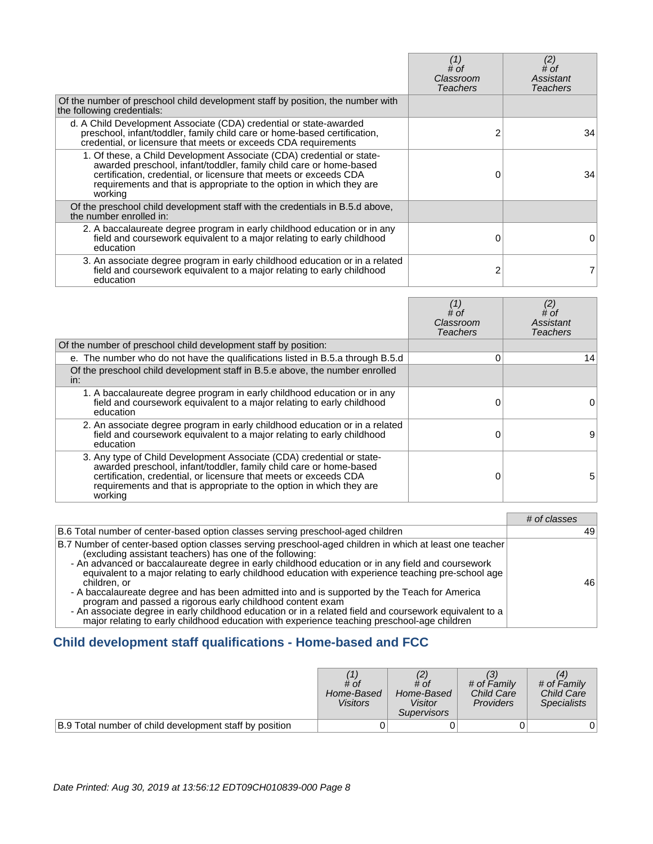|                                                                                                                                                                                                                                                                                                     | (1)<br># of<br>Classroom<br>Teachers | (2)<br># of<br>Assistant<br>Teachers |
|-----------------------------------------------------------------------------------------------------------------------------------------------------------------------------------------------------------------------------------------------------------------------------------------------------|--------------------------------------|--------------------------------------|
| Of the number of preschool child development staff by position, the number with<br>the following credentials:                                                                                                                                                                                       |                                      |                                      |
| d. A Child Development Associate (CDA) credential or state-awarded<br>preschool, infant/toddler, family child care or home-based certification,<br>credential, or licensure that meets or exceeds CDA requirements                                                                                  |                                      | 34                                   |
| 1. Of these, a Child Development Associate (CDA) credential or state-<br>awarded preschool, infant/toddler, family child care or home-based<br>certification, credential, or licensure that meets or exceeds CDA<br>requirements and that is appropriate to the option in which they are<br>working |                                      | 34                                   |
| Of the preschool child development staff with the credentials in B.5.d above,<br>the number enrolled in:                                                                                                                                                                                            |                                      |                                      |
| 2. A baccalaureate degree program in early childhood education or in any<br>field and coursework equivalent to a major relating to early childhood<br>education                                                                                                                                     |                                      | 0                                    |
| 3. An associate degree program in early childhood education or in a related<br>field and coursework equivalent to a major relating to early childhood<br>education                                                                                                                                  | ⌒                                    |                                      |

|                                                                                                                                                                                                                                                                                                     | $#$ of<br>Classroom<br>Teachers | (2)<br>$#$ of<br>Assistant<br>Teachers |
|-----------------------------------------------------------------------------------------------------------------------------------------------------------------------------------------------------------------------------------------------------------------------------------------------------|---------------------------------|----------------------------------------|
| Of the number of preschool child development staff by position:                                                                                                                                                                                                                                     |                                 |                                        |
| e. The number who do not have the qualifications listed in B.5.a through B.5.d                                                                                                                                                                                                                      | 0                               | 14 <sub>1</sub>                        |
| Of the preschool child development staff in B.5.e above, the number enrolled<br>in:                                                                                                                                                                                                                 |                                 |                                        |
| 1. A baccalaureate degree program in early childhood education or in any<br>field and coursework equivalent to a major relating to early childhood<br>education                                                                                                                                     |                                 |                                        |
| 2. An associate degree program in early childhood education or in a related<br>field and coursework equivalent to a major relating to early childhood<br>education                                                                                                                                  |                                 | 9                                      |
| 3. Any type of Child Development Associate (CDA) credential or state-<br>awarded preschool, infant/toddler, family child care or home-based<br>certification, credential, or licensure that meets or exceeds CDA<br>requirements and that is appropriate to the option in which they are<br>working | 0                               | 5.                                     |

|                                                                                                                                                                                                                                                                                                                                                                                                                                                                                                                                                                                                                                                                                                                                                                          | # of classes |
|--------------------------------------------------------------------------------------------------------------------------------------------------------------------------------------------------------------------------------------------------------------------------------------------------------------------------------------------------------------------------------------------------------------------------------------------------------------------------------------------------------------------------------------------------------------------------------------------------------------------------------------------------------------------------------------------------------------------------------------------------------------------------|--------------|
| B.6 Total number of center-based option classes serving preschool-aged children                                                                                                                                                                                                                                                                                                                                                                                                                                                                                                                                                                                                                                                                                          | 49           |
| B.7 Number of center-based option classes serving preschool-aged children in which at least one teacher<br>(excluding assistant teachers) has one of the following:<br>- An advanced or baccalaureate degree in early childhood education or in any field and coursework<br>equivalent to a major relating to early childhood education with experience teaching pre-school age<br>children, or<br>- A baccalaureate degree and has been admitted into and is supported by the Teach for America<br>program and passed a rigorous early childhood content exam<br>- An associate degree in early childhood education or in a related field and coursework equivalent to a<br>major relating to early childhood education with experience teaching preschool-age children | 46           |

## **Child development staff qualifications - Home-based and FCC**

|                                                         | # of<br>Home-Based<br><b>Visitors</b> | # of<br>Home-Based<br>Visitor<br><i>Supervisors</i> | # of Family<br><b>Child Care</b><br><b>Providers</b> | # of Family<br><b>Child Care</b><br><b>Specialists</b> |
|---------------------------------------------------------|---------------------------------------|-----------------------------------------------------|------------------------------------------------------|--------------------------------------------------------|
| B.9 Total number of child development staff by position |                                       |                                                     |                                                      |                                                        |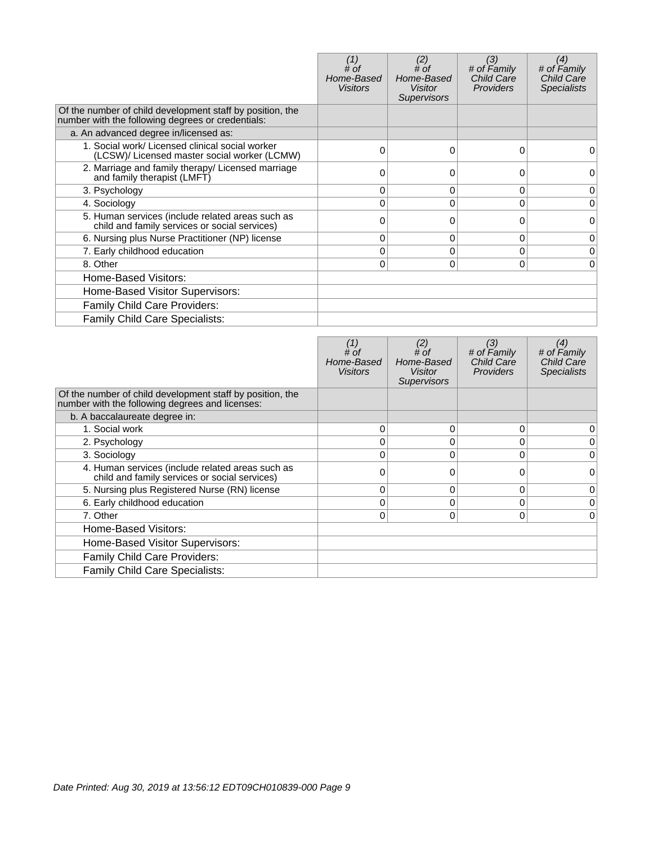|                                                                                                                | # of<br>Home-Based<br><b>Visitors</b> | (2)<br>$#$ of<br>Home-Based<br><b>Visitor</b><br><b>Supervisors</b> | (3)<br># of Family<br><b>Child Care</b><br><b>Providers</b> | (4)<br># of Family<br>Child Care<br><b>Specialists</b> |
|----------------------------------------------------------------------------------------------------------------|---------------------------------------|---------------------------------------------------------------------|-------------------------------------------------------------|--------------------------------------------------------|
| Of the number of child development staff by position, the<br>number with the following degrees or credentials: |                                       |                                                                     |                                                             |                                                        |
| a. An advanced degree in/licensed as:                                                                          |                                       |                                                                     |                                                             |                                                        |
| 1. Social work/ Licensed clinical social worker<br>(LCSW)/ Licensed master social worker (LCMW)                | 0                                     | $\Omega$                                                            | 0                                                           | 0                                                      |
| 2. Marriage and family therapy/ Licensed marriage<br>and family therapist (LMFT)                               |                                       |                                                                     | 0                                                           | 0                                                      |
| 3. Psychology                                                                                                  | 0                                     | 0                                                                   | 0                                                           | 0                                                      |
| 4. Sociology                                                                                                   |                                       | $\Omega$                                                            | $\Omega$                                                    | 0                                                      |
| 5. Human services (include related areas such as<br>child and family services or social services)              | 0                                     | 0                                                                   | $\Omega$                                                    | $\Omega$                                               |
| 6. Nursing plus Nurse Practitioner (NP) license                                                                | 0                                     | 0                                                                   | 0                                                           | 0                                                      |
| 7. Early childhood education                                                                                   | 0                                     | 0                                                                   | $\Omega$                                                    | 0                                                      |
| 8. Other                                                                                                       | 0                                     | $\Omega$                                                            | 0                                                           | 0                                                      |
| Home-Based Visitors:                                                                                           |                                       |                                                                     |                                                             |                                                        |
| Home-Based Visitor Supervisors:                                                                                |                                       |                                                                     |                                                             |                                                        |
| <b>Family Child Care Providers:</b>                                                                            |                                       |                                                                     |                                                             |                                                        |
| Family Child Care Specialists:                                                                                 |                                       |                                                                     |                                                             |                                                        |

|                                                                                                              | # of<br>Home-Based<br><b>Visitors</b> | (2)<br># of<br>Home-Based<br><b>Visitor</b><br><b>Supervisors</b> | (3)<br># of Family<br><b>Child Care</b><br><b>Providers</b> | (4)<br># of Family<br><b>Child Care</b><br><b>Specialists</b> |
|--------------------------------------------------------------------------------------------------------------|---------------------------------------|-------------------------------------------------------------------|-------------------------------------------------------------|---------------------------------------------------------------|
| Of the number of child development staff by position, the<br>number with the following degrees and licenses: |                                       |                                                                   |                                                             |                                                               |
| b. A baccalaureate degree in:                                                                                |                                       |                                                                   |                                                             |                                                               |
| 1. Social work                                                                                               | $\Omega$                              | 0                                                                 | 0                                                           | 0                                                             |
| 2. Psychology                                                                                                | 0                                     | 0                                                                 | 0                                                           | 0                                                             |
| 3. Sociology                                                                                                 | 0                                     | 0                                                                 | $\Omega$                                                    | 0                                                             |
| 4. Human services (include related areas such as<br>child and family services or social services)            | ∩                                     |                                                                   | 0                                                           | 0                                                             |
| 5. Nursing plus Registered Nurse (RN) license                                                                | $\Omega$                              | 0                                                                 | $\Omega$                                                    | 0                                                             |
| 6. Early childhood education                                                                                 | 0                                     | 0                                                                 | 0                                                           | 0                                                             |
| 7. Other                                                                                                     | 0                                     | 0                                                                 | $\Omega$                                                    | $\Omega$                                                      |
| Home-Based Visitors:                                                                                         |                                       |                                                                   |                                                             |                                                               |
| Home-Based Visitor Supervisors:                                                                              |                                       |                                                                   |                                                             |                                                               |
| Family Child Care Providers:                                                                                 |                                       |                                                                   |                                                             |                                                               |
| Family Child Care Specialists:                                                                               |                                       |                                                                   |                                                             |                                                               |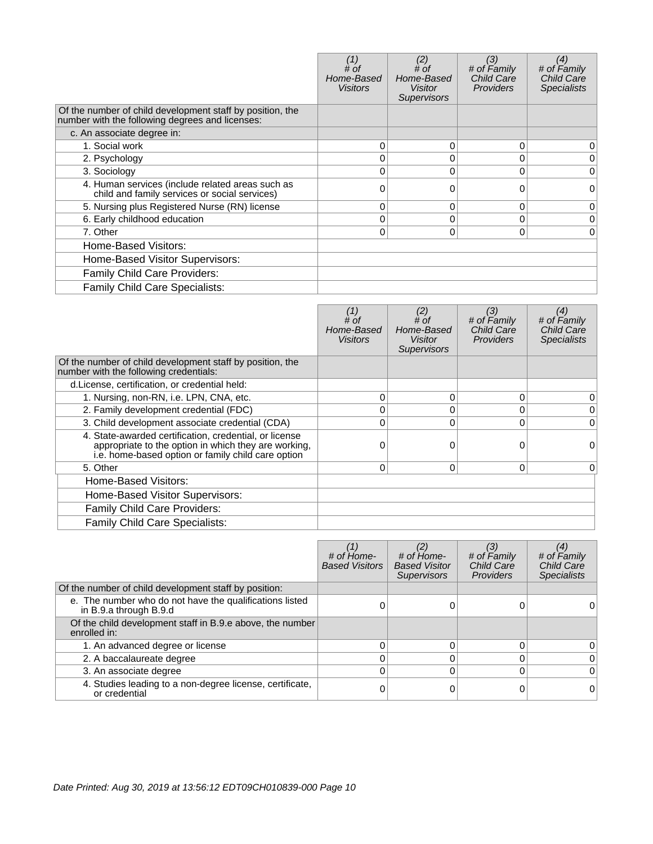|                                                                                                              | # of<br>Home-Based<br><b>Visitors</b> | (2)<br># of<br>Home-Based<br>Visitor<br><b>Supervisors</b> | (3)<br># of Family<br><b>Child Care</b><br><b>Providers</b> | (4)<br># of Family<br><b>Child Care</b><br><b>Specialists</b> |
|--------------------------------------------------------------------------------------------------------------|---------------------------------------|------------------------------------------------------------|-------------------------------------------------------------|---------------------------------------------------------------|
| Of the number of child development staff by position, the<br>number with the following degrees and licenses: |                                       |                                                            |                                                             |                                                               |
| c. An associate degree in:                                                                                   |                                       |                                                            |                                                             |                                                               |
| 1. Social work                                                                                               | 0                                     | 0                                                          | $\Omega$                                                    | 0                                                             |
| 2. Psychology                                                                                                |                                       | 0                                                          | 0                                                           | 0                                                             |
| 3. Sociology                                                                                                 | 0                                     | 0                                                          | $\Omega$                                                    | 0                                                             |
| 4. Human services (include related areas such as<br>child and family services or social services)            | ი                                     | O                                                          | 0                                                           | 0                                                             |
| 5. Nursing plus Registered Nurse (RN) license                                                                | 0                                     | 0                                                          | 0                                                           | 0                                                             |
| 6. Early childhood education                                                                                 | 0                                     | 0                                                          | $\mathbf 0$                                                 | 0                                                             |
| 7. Other                                                                                                     | 0                                     | 0                                                          | 0                                                           | $\Omega$                                                      |
| Home-Based Visitors:                                                                                         |                                       |                                                            |                                                             |                                                               |
| Home-Based Visitor Supervisors:                                                                              |                                       |                                                            |                                                             |                                                               |
| Family Child Care Providers:                                                                                 |                                       |                                                            |                                                             |                                                               |
| <b>Family Child Care Specialists:</b>                                                                        |                                       |                                                            |                                                             |                                                               |

|                                                                                                                                                                      | # of<br>Home-Based<br>Visitors | (2)<br># $of$<br>Home-Based<br>Visitor<br><b>Supervisors</b> | (3)<br># of Family<br><b>Child Care</b><br><b>Providers</b> | (4)<br># of Family<br><b>Child Care</b><br><b>Specialists</b> |
|----------------------------------------------------------------------------------------------------------------------------------------------------------------------|--------------------------------|--------------------------------------------------------------|-------------------------------------------------------------|---------------------------------------------------------------|
| Of the number of child development staff by position, the<br>number with the following credentials:                                                                  |                                |                                                              |                                                             |                                                               |
| d. License, certification, or credential held:                                                                                                                       |                                |                                                              |                                                             |                                                               |
| 1. Nursing, non-RN, i.e. LPN, CNA, etc.                                                                                                                              | 0                              | 0                                                            | 0                                                           | 0                                                             |
| 2. Family development credential (FDC)                                                                                                                               |                                | $\Omega$                                                     | 0                                                           | $\mathbf{0}$                                                  |
| 3. Child development associate credential (CDA)                                                                                                                      |                                | $\Omega$                                                     | 0                                                           | $\Omega$                                                      |
| 4. State-awarded certification, credential, or license<br>appropriate to the option in which they are working,<br>i.e. home-based option or family child care option |                                | $\Omega$                                                     | 0                                                           | 0                                                             |
| 5. Other                                                                                                                                                             | 0                              | 0                                                            | 0                                                           | $\overline{0}$                                                |
| Home-Based Visitors:                                                                                                                                                 |                                |                                                              |                                                             |                                                               |
| Home-Based Visitor Supervisors:                                                                                                                                      |                                |                                                              |                                                             |                                                               |
| <b>Family Child Care Providers:</b>                                                                                                                                  |                                |                                                              |                                                             |                                                               |
| Family Child Care Specialists:                                                                                                                                       |                                |                                                              |                                                             |                                                               |

|                                                                                   | # of Home-<br><b>Based Visitors</b> | (2)<br># of Home-<br><b>Based Visitor</b><br><b>Supervisors</b> | (3)<br># of Family<br><b>Child Care</b><br><b>Providers</b> | (4)<br># of Family<br>Child Care<br><b>Specialists</b> |
|-----------------------------------------------------------------------------------|-------------------------------------|-----------------------------------------------------------------|-------------------------------------------------------------|--------------------------------------------------------|
| Of the number of child development staff by position:                             |                                     |                                                                 |                                                             |                                                        |
| e. The number who do not have the qualifications listed<br>in B.9.a through B.9.d |                                     |                                                                 |                                                             |                                                        |
| Of the child development staff in B.9.e above, the number<br>enrolled in:         |                                     |                                                                 |                                                             |                                                        |
| 1. An advanced degree or license                                                  |                                     |                                                                 | O                                                           | 0                                                      |
| 2. A baccalaureate degree                                                         |                                     |                                                                 | 0                                                           | $\Omega$                                               |
| 3. An associate degree                                                            |                                     |                                                                 | 0                                                           | $\Omega$                                               |
| 4. Studies leading to a non-degree license, certificate,<br>or credential         |                                     |                                                                 |                                                             | $\Omega$                                               |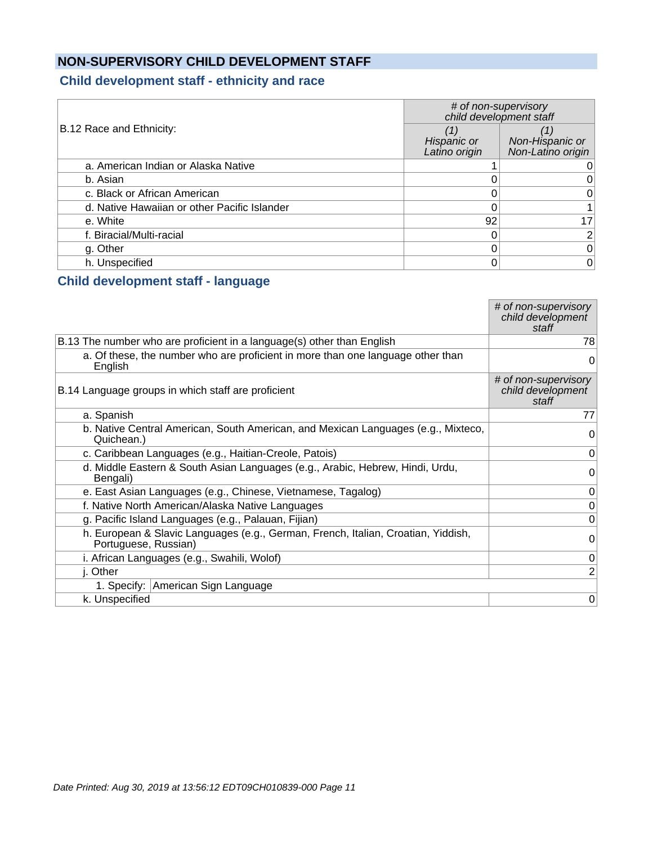## **NON-SUPERVISORY CHILD DEVELOPMENT STAFF**

## **Child development staff - ethnicity and race**

|                                              | # of non-supervisory<br>child development staff |                                      |  |  |
|----------------------------------------------|-------------------------------------------------|--------------------------------------|--|--|
| B.12 Race and Ethnicity:                     | Hispanic or<br>Latino origin                    | Non-Hispanic or<br>Non-Latino origin |  |  |
| a. American Indian or Alaska Native          |                                                 |                                      |  |  |
| b. Asian                                     |                                                 |                                      |  |  |
| c. Black or African American                 |                                                 | 0                                    |  |  |
| d. Native Hawaiian or other Pacific Islander |                                                 |                                      |  |  |
| e. White                                     | 92                                              | 17 <sup>2</sup>                      |  |  |
| f. Biracial/Multi-racial                     |                                                 | 2 <sup>1</sup>                       |  |  |
| g. Other                                     |                                                 | 0                                    |  |  |
| h. Unspecified                               |                                                 | 0                                    |  |  |

#### **Child development staff - language**

|                                                                                                           | # of non-supervisory<br>child development<br>staff |
|-----------------------------------------------------------------------------------------------------------|----------------------------------------------------|
| B.13 The number who are proficient in a language(s) other than English                                    | 78                                                 |
| a. Of these, the number who are proficient in more than one language other than<br>English                | 0                                                  |
| B.14 Language groups in which staff are proficient                                                        | # of non-supervisory<br>child development<br>staff |
| a. Spanish                                                                                                | 77                                                 |
| b. Native Central American, South American, and Mexican Languages (e.g., Mixteco,<br>Quichean.)           | $\Omega$                                           |
| c. Caribbean Languages (e.g., Haitian-Creole, Patois)                                                     | 0                                                  |
| d. Middle Eastern & South Asian Languages (e.g., Arabic, Hebrew, Hindi, Urdu,<br>Bengali)                 | $\Omega$                                           |
| e. East Asian Languages (e.g., Chinese, Vietnamese, Tagalog)                                              | 0                                                  |
| f. Native North American/Alaska Native Languages                                                          | 0                                                  |
| g. Pacific Island Languages (e.g., Palauan, Fijian)                                                       | $\mathbf 0$                                        |
| h. European & Slavic Languages (e.g., German, French, Italian, Croatian, Yiddish,<br>Portuguese, Russian) | $\Omega$                                           |
| i. African Languages (e.g., Swahili, Wolof)                                                               | 0                                                  |
| j. Other                                                                                                  | $\overline{2}$                                     |
| 1. Specify: American Sign Language                                                                        |                                                    |
| k. Unspecified                                                                                            | 0                                                  |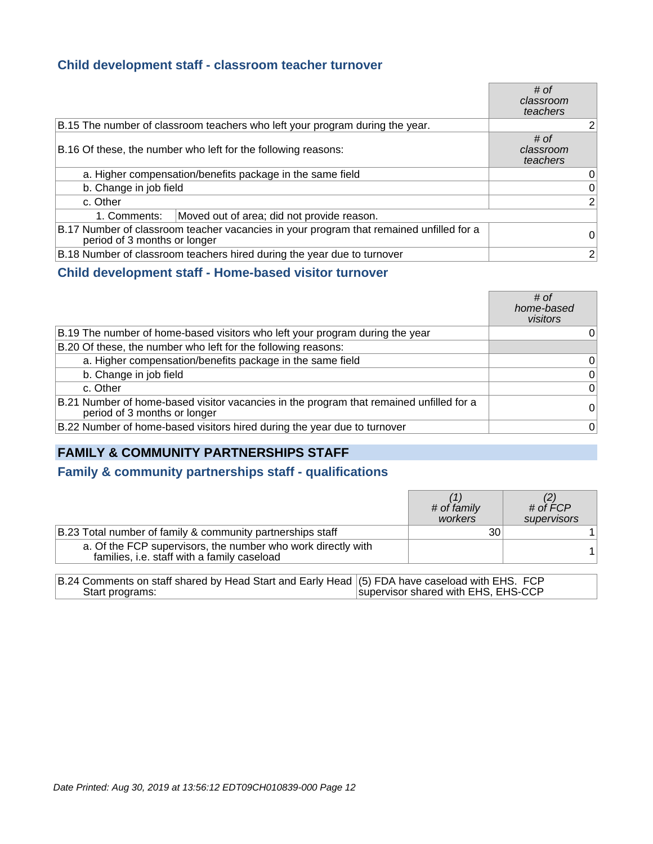#### **Child development staff - classroom teacher turnover**

|                                                                                                                         | # of<br>classroom<br>teachers |
|-------------------------------------------------------------------------------------------------------------------------|-------------------------------|
| B.15 The number of classroom teachers who left your program during the year.                                            | $\overline{2}$                |
| B.16 Of these, the number who left for the following reasons:                                                           | # of<br>classroom<br>teachers |
| a. Higher compensation/benefits package in the same field                                                               | 0                             |
| b. Change in job field                                                                                                  | 0                             |
| c. Other                                                                                                                | $\overline{2}$                |
| Moved out of area; did not provide reason.<br>1. Comments:                                                              |                               |
| B.17 Number of classroom teacher vacancies in your program that remained unfilled for a<br>period of 3 months or longer | 0                             |
| B.18 Number of classroom teachers hired during the year due to turnover                                                 | $\overline{2}$                |

#### **Child development staff - Home-based visitor turnover**

|                                                                                                                         | # of<br>home-based<br>visitors |
|-------------------------------------------------------------------------------------------------------------------------|--------------------------------|
| B.19 The number of home-based visitors who left your program during the year                                            | 0                              |
| B.20 Of these, the number who left for the following reasons:                                                           |                                |
| a. Higher compensation/benefits package in the same field                                                               | $\overline{0}$                 |
| b. Change in job field                                                                                                  | $\overline{0}$                 |
| c. Other                                                                                                                | $\overline{0}$                 |
| B.21 Number of home-based visitor vacancies in the program that remained unfilled for a<br>period of 3 months or longer | $\Omega$                       |
| B.22 Number of home-based visitors hired during the year due to turnover                                                | $\overline{0}$                 |

## **FAMILY & COMMUNITY PARTNERSHIPS STAFF**

#### **Family & community partnerships staff - qualifications**

|                                                                                                             | # of family<br>workers | # of $\hat{F}CP$<br>supervisors |
|-------------------------------------------------------------------------------------------------------------|------------------------|---------------------------------|
| B.23 Total number of family & community partnerships staff                                                  | 30                     |                                 |
| a. Of the FCP supervisors, the number who work directly with<br>families, i.e. staff with a family caseload |                        |                                 |
|                                                                                                             |                        |                                 |

B.24 Comments on staff shared by Head Start and Early Head Start programs: (5) FDA have caseload with EHS. FCP supervisor shared with EHS, EHS-CCP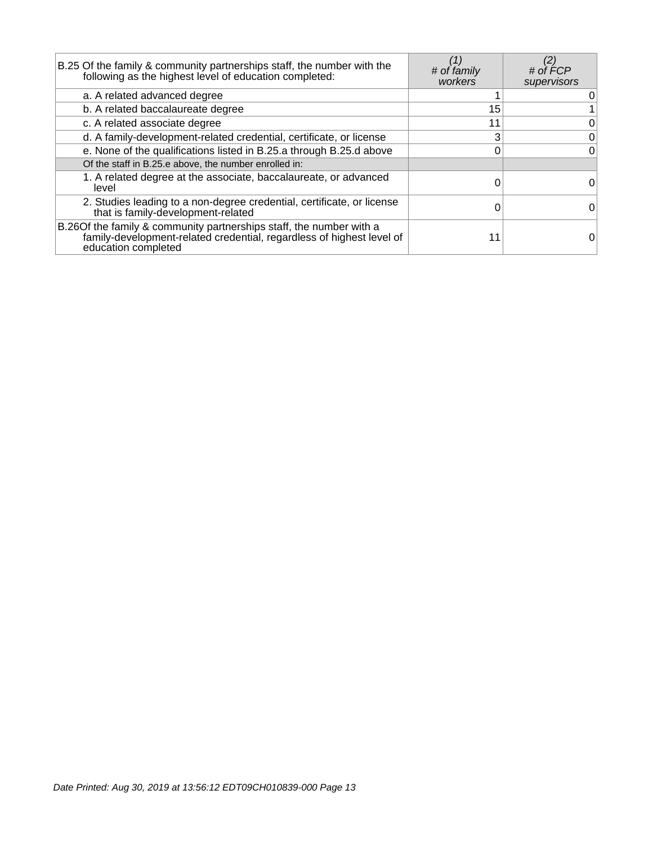| B.25 Of the family & community partnerships staff, the number with the<br>following as the highest level of education completed:                                     | # of family<br>workers | # of FCP<br>supervisors |
|----------------------------------------------------------------------------------------------------------------------------------------------------------------------|------------------------|-------------------------|
| a. A related advanced degree                                                                                                                                         |                        | 0                       |
| b. A related baccalaureate degree                                                                                                                                    | 15                     |                         |
| c. A related associate degree                                                                                                                                        | 11                     | $\overline{0}$          |
| d. A family-development-related credential, certificate, or license                                                                                                  | 3                      | $\overline{0}$          |
| e. None of the qualifications listed in B.25.a through B.25.d above                                                                                                  |                        | $\overline{0}$          |
| Of the staff in B.25.e above, the number enrolled in:                                                                                                                |                        |                         |
| 1. A related degree at the associate, baccalaureate, or advanced<br>level                                                                                            |                        | 0.                      |
| 2. Studies leading to a non-degree credential, certificate, or license<br>that is family-development-related                                                         |                        | 0                       |
| B.26 Of the family & community partnerships staff, the number with a<br>family-development-related credential, regardless of highest level of<br>education completed |                        |                         |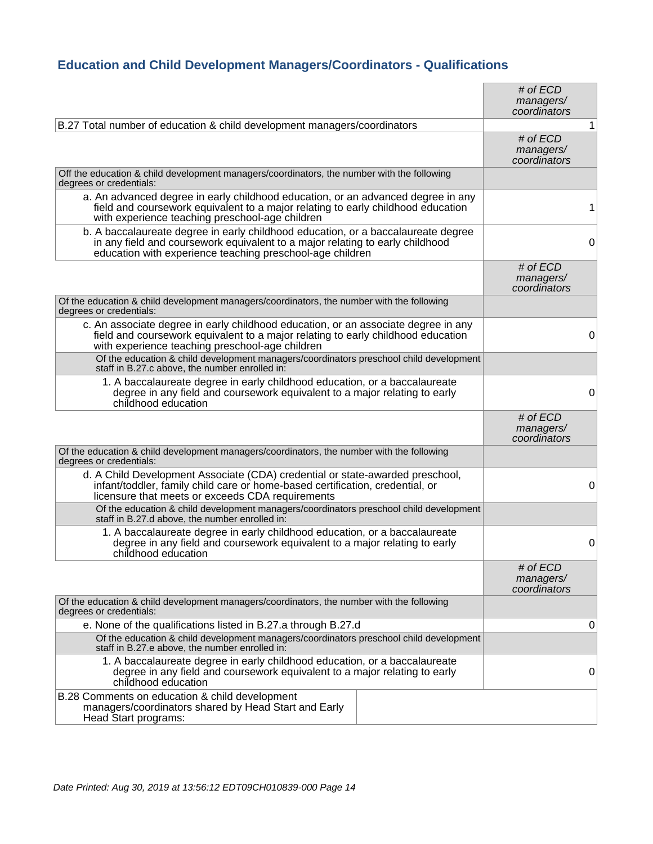## **Education and Child Development Managers/Coordinators - Qualifications**

|                                                                                                                                                                                                                                 | # of $ECD$<br>managers/<br>coordinators |   |
|---------------------------------------------------------------------------------------------------------------------------------------------------------------------------------------------------------------------------------|-----------------------------------------|---|
| B.27 Total number of education & child development managers/coordinators                                                                                                                                                        |                                         | 1 |
|                                                                                                                                                                                                                                 | # of $ECD$<br>managers/<br>coordinators |   |
| Off the education & child development managers/coordinators, the number with the following<br>degrees or credentials:                                                                                                           |                                         |   |
| a. An advanced degree in early childhood education, or an advanced degree in any<br>field and course work equivalent to a major relating to early childhood education<br>with experience teaching preschool-age children        |                                         | 1 |
| b. A baccalaureate degree in early childhood education, or a baccalaureate degree<br>in any field and coursework equivalent to a major relating to early childhood<br>education with experience teaching preschool-age children |                                         | 0 |
|                                                                                                                                                                                                                                 | # of $ECD$<br>managers/<br>coordinators |   |
| Of the education & child development managers/coordinators, the number with the following<br>degrees or credentials:                                                                                                            |                                         |   |
| c. An associate degree in early childhood education, or an associate degree in any<br>field and coursework equivalent to a major relating to early childhood education<br>with experience teaching preschool-age children       |                                         | 0 |
| Of the education & child development managers/coordinators preschool child development<br>staff in B.27.c above, the number enrolled in:                                                                                        |                                         |   |
| 1. A baccalaureate degree in early childhood education, or a baccalaureate<br>degree in any field and coursework equivalent to a major relating to early<br>childhood education                                                 |                                         | 0 |
|                                                                                                                                                                                                                                 | # of $ECD$<br>managers/<br>coordinators |   |
| Of the education & child development managers/coordinators, the number with the following<br>degrees or credentials:                                                                                                            |                                         |   |
| d. A Child Development Associate (CDA) credential or state-awarded preschool,<br>infant/toddler, family child care or home-based certification, credential, or<br>licensure that meets or exceeds CDA requirements              |                                         | 0 |
| Of the education & child development managers/coordinators preschool child development<br>staff in B.27.d above, the number enrolled in:                                                                                        |                                         |   |
| 1. A baccalaureate degree in early childhood education, or a baccalaureate<br>degree in any field and coursework equivalent to a major relating to early<br>childhood education                                                 |                                         | 0 |
|                                                                                                                                                                                                                                 | # of ECD<br>managers/<br>coordinators   |   |
| Of the education & child development managers/coordinators, the number with the following<br>degrees or credentials:                                                                                                            |                                         |   |
| e. None of the qualifications listed in B.27.a through B.27.d                                                                                                                                                                   |                                         | 0 |
| Of the education & child development managers/coordinators preschool child development<br>staff in B.27.e above, the number enrolled in:                                                                                        |                                         |   |
| 1. A baccalaureate degree in early childhood education, or a baccalaureate<br>degree in any field and coursework equivalent to a major relating to early<br>childhood education                                                 |                                         | 0 |
| B.28 Comments on education & child development<br>managers/coordinators shared by Head Start and Early<br>Head Start programs:                                                                                                  |                                         |   |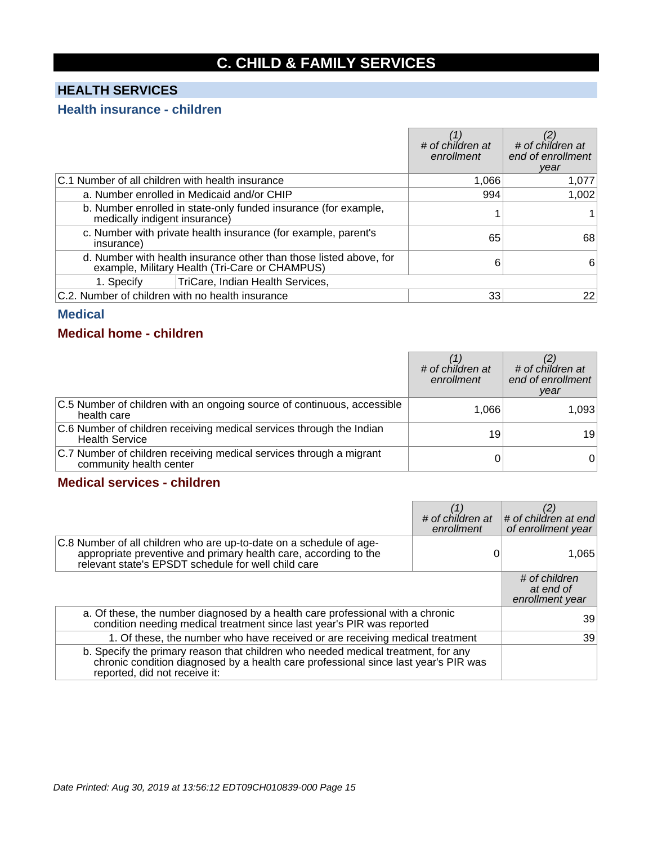## **C. CHILD & FAMILY SERVICES**

## **HEALTH SERVICES**

#### **Health insurance - children**

|                                                  |                                                                                                                      | # of children at<br>enrollment | # of children at<br>end of enrollment<br>year |
|--------------------------------------------------|----------------------------------------------------------------------------------------------------------------------|--------------------------------|-----------------------------------------------|
| C.1 Number of all children with health insurance |                                                                                                                      | 1,066                          | 1,077                                         |
|                                                  | a. Number enrolled in Medicaid and/or CHIP                                                                           | 994                            | 1,002                                         |
| medically indigent insurance)                    | b. Number enrolled in state-only funded insurance (for example,                                                      |                                |                                               |
| insurance)                                       | c. Number with private health insurance (for example, parent's                                                       | 65                             | 68                                            |
|                                                  | d. Number with health insurance other than those listed above, for<br>example, Military Health (Tri-Care or CHAMPUS) | 6                              | 6                                             |
| 1. Specify                                       | TriCare, Indian Health Services,                                                                                     |                                |                                               |
| C.2. Number of children with no health insurance |                                                                                                                      | 33                             | 22                                            |

#### **Medical**

#### **Medical home - children**

|                                                                                                | # of children at<br>enrollment | # of children at<br>end of enrollment<br>year |
|------------------------------------------------------------------------------------------------|--------------------------------|-----------------------------------------------|
| C.5 Number of children with an ongoing source of continuous, accessible<br>health care         | 1,066                          | 1,093                                         |
| C.6 Number of children receiving medical services through the Indian<br><b>Health Service</b>  | 19                             | 19                                            |
| C.7 Number of children receiving medical services through a migrant<br>community health center |                                | 01                                            |

## **Medical services - children**

|                                                                                                                                                                                                           | # of children at<br>enrollment | # of children at end<br>of enrollment year    |
|-----------------------------------------------------------------------------------------------------------------------------------------------------------------------------------------------------------|--------------------------------|-----------------------------------------------|
| C.8 Number of all children who are up-to-date on a schedule of age-<br>appropriate preventive and primary health care, according to the relevant state's EPSDT schedule for well child care               |                                | 1.065                                         |
|                                                                                                                                                                                                           |                                | # of children<br>at end of<br>enrollment year |
| a. Of these, the number diagnosed by a health care professional with a chronic<br>condition needing medical treatment since last year's PIR was reported                                                  |                                | 39                                            |
| 1. Of these, the number who have received or are receiving medical treatment                                                                                                                              |                                | 39                                            |
| b. Specify the primary reason that children who needed medical treatment, for any<br>chronic condition diagnosed by a health care professional since last year's PIR was<br>reported, did not receive it: |                                |                                               |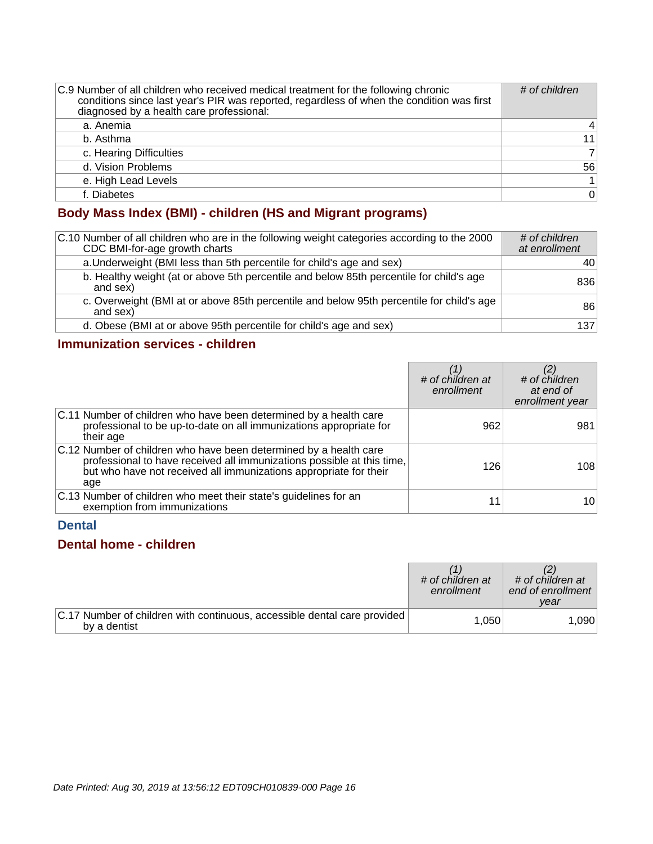| C.9 Number of all children who received medical treatment for the following chronic<br>conditions since last year's PIR was reported, regardless of when the condition was first<br>diagnosed by a health care professional: | # of children  |
|------------------------------------------------------------------------------------------------------------------------------------------------------------------------------------------------------------------------------|----------------|
| a. Anemia                                                                                                                                                                                                                    | 4              |
| b. Asthma                                                                                                                                                                                                                    | 11             |
| c. Hearing Difficulties                                                                                                                                                                                                      | $\overline{7}$ |
| d. Vision Problems                                                                                                                                                                                                           | 56             |
| e. High Lead Levels                                                                                                                                                                                                          | $\mathbf{1}$   |
| f. Diabetes                                                                                                                                                                                                                  | $\Omega$       |

## **Body Mass Index (BMI) - children (HS and Migrant programs)**

| C.10 Number of all children who are in the following weight categories according to the 2000<br>CDC BMI-for-age growth charts | # of children<br>at enrollment |
|-------------------------------------------------------------------------------------------------------------------------------|--------------------------------|
| a. Underweight (BMI less than 5th percentile for child's age and sex)                                                         | 40 l                           |
| b. Healthy weight (at or above 5th percentile and below 85th percentile for child's age<br>and sex)                           | 836                            |
| c. Overweight (BMI at or above 85th percentile and below 95th percentile for child's age<br>and sex)                          | 86                             |
| d. Obese (BMI at or above 95th percentile for child's age and sex)                                                            | 137                            |

## **Immunization services - children**

|                                                                                                                                                                                                                         | # of children at<br>enrollment | # of children<br>at end of<br>enrollment year |
|-------------------------------------------------------------------------------------------------------------------------------------------------------------------------------------------------------------------------|--------------------------------|-----------------------------------------------|
| C.11 Number of children who have been determined by a health care<br>professional to be up-to-date on all immunizations appropriate for<br>their age                                                                    | 962                            | 981                                           |
| C.12 Number of children who have been determined by a health care<br>professional to have received all immunizations possible at this time,<br>but who have not received all immunizations appropriate for their<br>age | 126                            | 108                                           |
| C.13 Number of children who meet their state's guidelines for an<br>exemption from immunizations                                                                                                                        | 11                             | 10                                            |

#### **Dental**

## **Dental home - children**

|                                                                                          | # of children at<br>enrollment | # of children at<br>end of enrollment<br>vear |
|------------------------------------------------------------------------------------------|--------------------------------|-----------------------------------------------|
| C.17 Number of children with continuous, accessible dental care provided<br>by a dentist | 1.050                          | 1.090                                         |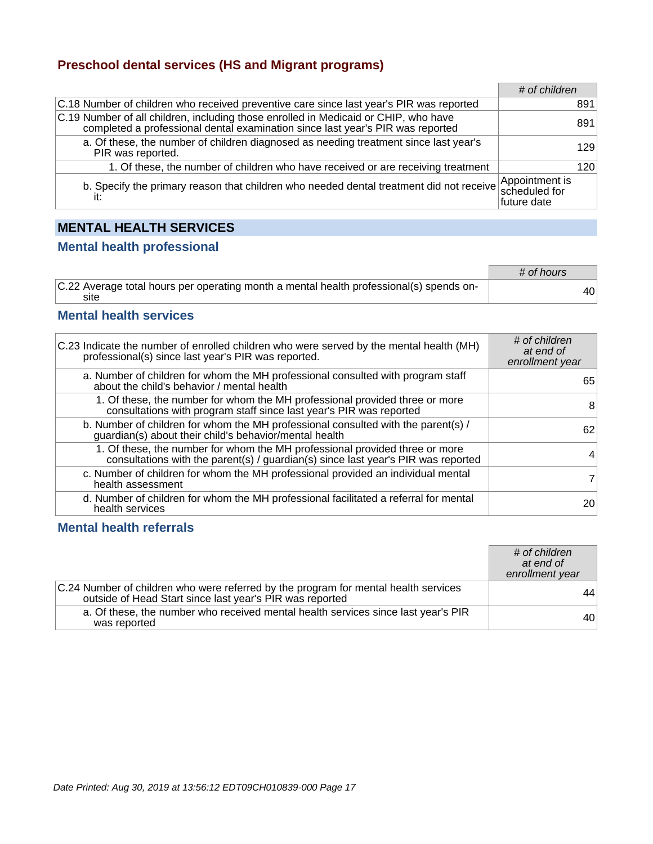#### **Preschool dental services (HS and Migrant programs)**

|                                                                                                                                                                       | # of children |     |
|-----------------------------------------------------------------------------------------------------------------------------------------------------------------------|---------------|-----|
| C.18 Number of children who received preventive care since last year's PIR was reported                                                                               |               | 891 |
| C.19 Number of all children, including those enrolled in Medicaid or CHIP, who have<br>completed a professional dental examination since last year's PIR was reported |               | 891 |
| a. Of these, the number of children diagnosed as needing treatment since last year's<br>PIR was reported.                                                             |               | 129 |
| 1. Of these, the number of children who have received or are receiving treatment                                                                                      |               | 120 |
| b. Specify the primary reason that children who needed dental treatment did not receive Appointment is                                                                | future date   |     |

## **MENTAL HEALTH SERVICES**

#### **Mental health professional**

|                                                                                                 | # of hours |    |
|-------------------------------------------------------------------------------------------------|------------|----|
| C.22 Average total hours per operating month a mental health professional(s) spends on-<br>site |            | 40 |

#### **Mental health services**

| C.23 Indicate the number of enrolled children who were served by the mental health (MH)<br>professional(s) since last year's PIR was reported.                   | # of children<br>at end of<br>enrollment year |
|------------------------------------------------------------------------------------------------------------------------------------------------------------------|-----------------------------------------------|
| a. Number of children for whom the MH professional consulted with program staff<br>about the child's behavior / mental health                                    | 65                                            |
| 1. Of these, the number for whom the MH professional provided three or more<br>consultations with program staff since last year's PIR was reported               | 8                                             |
| b. Number of children for whom the MH professional consulted with the parent(s) /<br>guardian(s) about their child's behavior/mental health                      | 62                                            |
| 1. Of these, the number for whom the MH professional provided three or more<br>consultations with the parent(s) / guardian(s) since last year's PIR was reported | 4                                             |
| c. Number of children for whom the MH professional provided an individual mental<br>health assessment                                                            | 7 <sup>1</sup>                                |
| d. Number of children for whom the MH professional facilitated a referral for mental<br>health services                                                          | 20                                            |

#### **Mental health referrals**

|                                                                                                                                                 | # of children<br>at end of<br>enrollment year |
|-------------------------------------------------------------------------------------------------------------------------------------------------|-----------------------------------------------|
| C.24 Number of children who were referred by the program for mental health services<br>outside of Head Start since last year's PIR was reported | 44                                            |
| a. Of these, the number who received mental health services since last year's PIR<br>was reported                                               | 40                                            |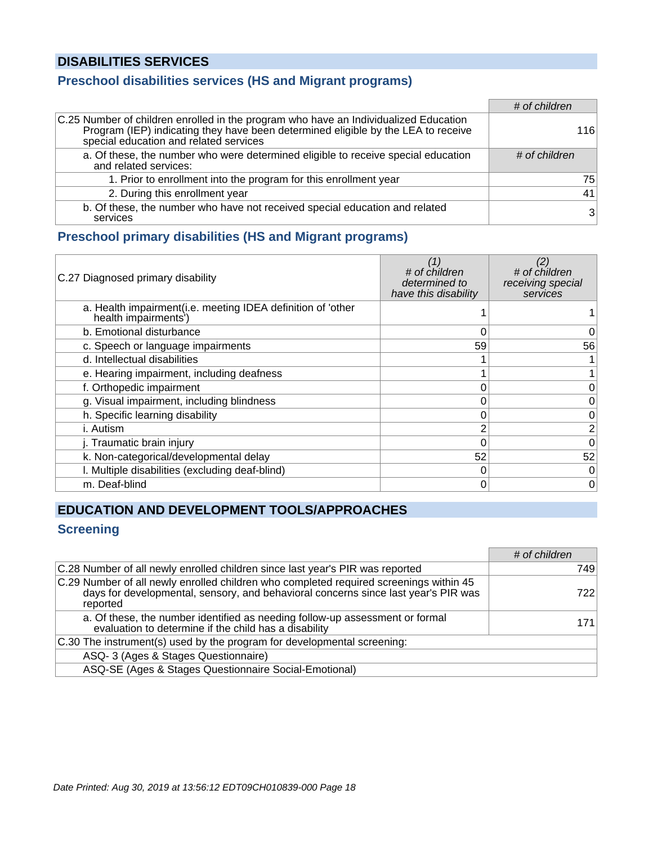## **DISABILITIES SERVICES**

## **Preschool disabilities services (HS and Migrant programs)**

|                                                                                                                                                                                                                     | # of children  |
|---------------------------------------------------------------------------------------------------------------------------------------------------------------------------------------------------------------------|----------------|
| C.25 Number of children enrolled in the program who have an Individualized Education<br>Program (IEP) indicating they have been determined eligible by the LEA to receive<br>special education and related services | 116            |
| a. Of these, the number who were determined eligible to receive special education<br>and related services:                                                                                                          | # of children  |
| 1. Prior to enrollment into the program for this enrollment year                                                                                                                                                    | 75             |
| 2. During this enrollment year                                                                                                                                                                                      | 41             |
| b. Of these, the number who have not received special education and related<br>services                                                                                                                             | 3 <sup>1</sup> |

#### **Preschool primary disabilities (HS and Migrant programs)**

| C.27 Diagnosed primary disability                                                   | (1)<br># of children<br>determined to<br>have this disability | # of children<br>receiving special<br>services |
|-------------------------------------------------------------------------------------|---------------------------------------------------------------|------------------------------------------------|
| a. Health impairment(i.e. meeting IDEA definition of 'other<br>health impairments') |                                                               |                                                |
| b. Emotional disturbance                                                            | 0                                                             | 0                                              |
| c. Speech or language impairments                                                   | 59                                                            | 56                                             |
| d. Intellectual disabilities                                                        |                                                               |                                                |
| e. Hearing impairment, including deafness                                           |                                                               | $\mathbf{1}$                                   |
| f. Orthopedic impairment                                                            | 0                                                             | 0                                              |
| g. Visual impairment, including blindness                                           | 0                                                             | 0                                              |
| h. Specific learning disability                                                     | 0                                                             | 0                                              |
| i. Autism                                                                           | ⌒                                                             | $\overline{2}$                                 |
| j. Traumatic brain injury                                                           |                                                               | 0                                              |
| k. Non-categorical/developmental delay                                              | 52                                                            | 52                                             |
| I. Multiple disabilities (excluding deaf-blind)                                     | 0                                                             | $\overline{0}$                                 |
| m. Deaf-blind                                                                       | 0                                                             | 0                                              |

## **EDUCATION AND DEVELOPMENT TOOLS/APPROACHES**

## **Screening**

|                                                                                                                                                                                          | # of children |
|------------------------------------------------------------------------------------------------------------------------------------------------------------------------------------------|---------------|
| C.28 Number of all newly enrolled children since last year's PIR was reported                                                                                                            | 749           |
| C.29 Number of all newly enrolled children who completed required screenings within 45<br>days for developmental, sensory, and behavioral concerns since last year's PIR was<br>reported | 722           |
| a. Of these, the number identified as needing follow-up assessment or formal<br>evaluation to determine if the child has a disability                                                    | 171           |
| C.30 The instrument(s) used by the program for developmental screening:                                                                                                                  |               |
| ASQ-3 (Ages & Stages Questionnaire)                                                                                                                                                      |               |
| ASQ-SE (Ages & Stages Questionnaire Social-Emotional)                                                                                                                                    |               |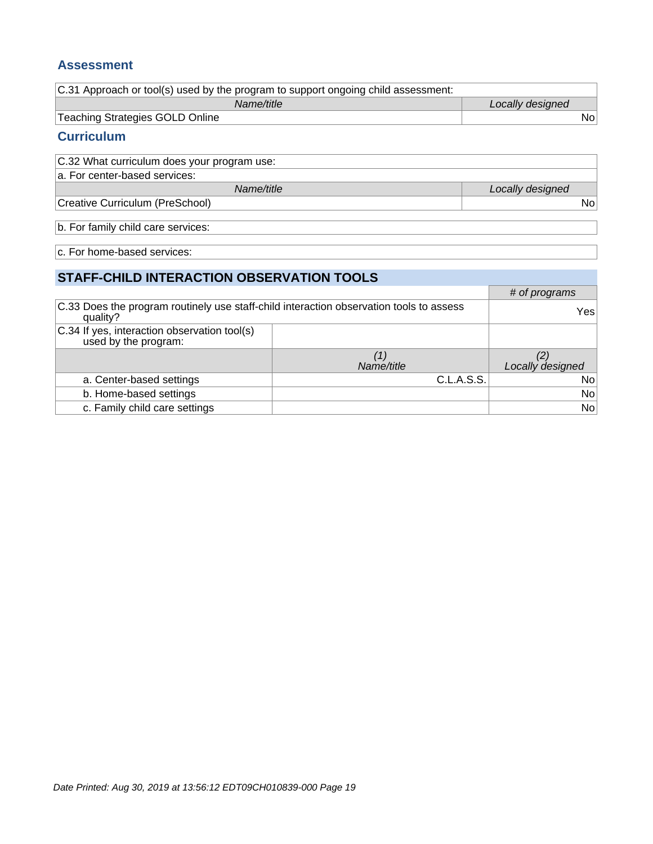#### **Assessment**

| C.31 Approach or tool(s) used by the program to support ongoing child assessment: |                  |
|-----------------------------------------------------------------------------------|------------------|
| Name/title                                                                        | Locally designed |
| Teaching Strategies GOLD Online                                                   | Nol              |

### **Curriculum**

| C.32 What curriculum does your program use: |                  |
|---------------------------------------------|------------------|
| a. For center-based services:               |                  |
| Name/title                                  | Locally designed |
| Creative Curriculum (PreSchool)             | Nol              |
|                                             |                  |

b. For family child care services:

c. For home-based services:

## **STAFF-CHILD INTERACTION OBSERVATION TOOLS**

|                                                                                                     |            | # of programs    |
|-----------------------------------------------------------------------------------------------------|------------|------------------|
| C.33 Does the program routinely use staff-child interaction observation tools to assess<br>quality? |            | Yes              |
| C.34 If yes, interaction observation tool(s)<br>used by the program:                                |            |                  |
|                                                                                                     | Name/title | Locally designed |
| a. Center-based settings                                                                            | C.L.A.S.S. | No               |
| b. Home-based settings                                                                              |            | No               |
| c. Family child care settings                                                                       |            | No               |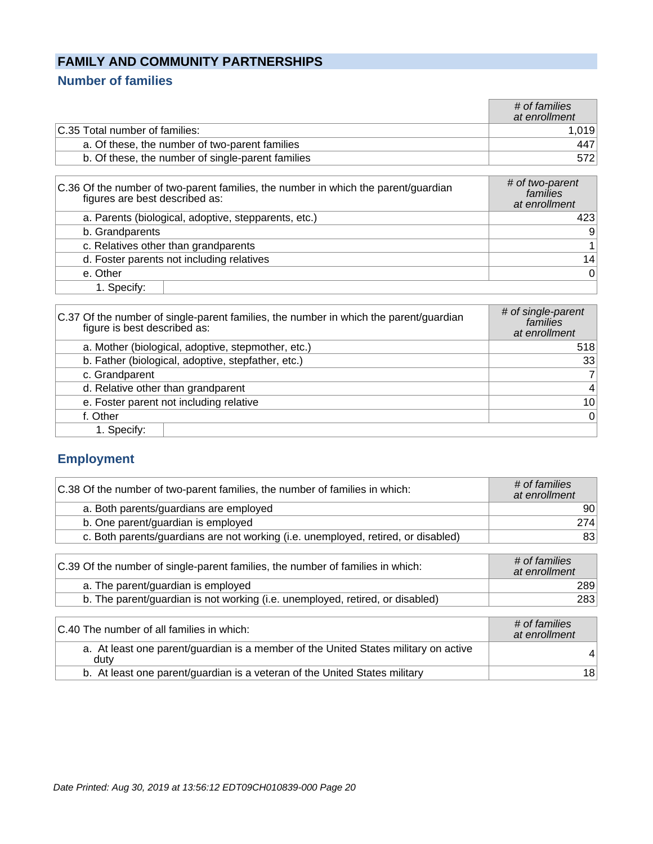## **FAMILY AND COMMUNITY PARTNERSHIPS**

## **Number of families**

|                                                                                                                      | # of families<br>at enrollment               |
|----------------------------------------------------------------------------------------------------------------------|----------------------------------------------|
| C.35 Total number of families:                                                                                       | 1,019                                        |
| a. Of these, the number of two-parent families                                                                       | 447                                          |
| b. Of these, the number of single-parent families                                                                    | 572                                          |
|                                                                                                                      |                                              |
| C.36 Of the number of two-parent families, the number in which the parent/guardian<br>figures are best described as: | # of two-parent<br>families<br>at enrollment |
| a. Parents (biological, adoptive, stepparents, etc.)                                                                 | 423                                          |

| b. Grandparents                           |    |
|-------------------------------------------|----|
| c. Relatives other than grandparents      |    |
| d. Foster parents not including relatives | 14 |
| e. Other                                  |    |
| 1. Specify:                               |    |

| C.37 Of the number of single-parent families, the number in which the parent/guardian<br>figure is best described as: | # of single-parent<br>families<br>at enrollment |
|-----------------------------------------------------------------------------------------------------------------------|-------------------------------------------------|
| a. Mother (biological, adoptive, stepmother, etc.)                                                                    | 518                                             |
| b. Father (biological, adoptive, stepfather, etc.)                                                                    | 33                                              |
| c. Grandparent                                                                                                        | 7 <sup>1</sup>                                  |
| d. Relative other than grandparent                                                                                    | $\vert$                                         |
| e. Foster parent not including relative                                                                               | 10 <sup>1</sup>                                 |
| f. Other                                                                                                              | 0                                               |
| 1. Specify:                                                                                                           |                                                 |

## **Employment**

| C.38 Of the number of two-parent families, the number of families in which:       | # of families<br>at enrollment |
|-----------------------------------------------------------------------------------|--------------------------------|
| a. Both parents/guardians are employed                                            | 90                             |
| b. One parent/guardian is employed                                                | 274                            |
| c. Both parents/guardians are not working (i.e. unemployed, retired, or disabled) | 83                             |
| C.39 Of the number of single-parent families, the number of families in which:    | # of families<br>at enrollment |
| a. The parent/guardian is employed                                                | 289                            |
| b. The parent/guardian is not working (i.e. unemployed, retired, or disabled)     | 283                            |
| C.40 The number of all families in which:                                         | # of families<br>at enrollment |

| C.40 The number of all families in which:                                                   | <u>+ UN Tannies</u><br>at enrollment |
|---------------------------------------------------------------------------------------------|--------------------------------------|
| a. At least one parent/guardian is a member of the United States military on active<br>dutv | 41                                   |
| b. At least one parent/guardian is a veteran of the United States military                  | 181                                  |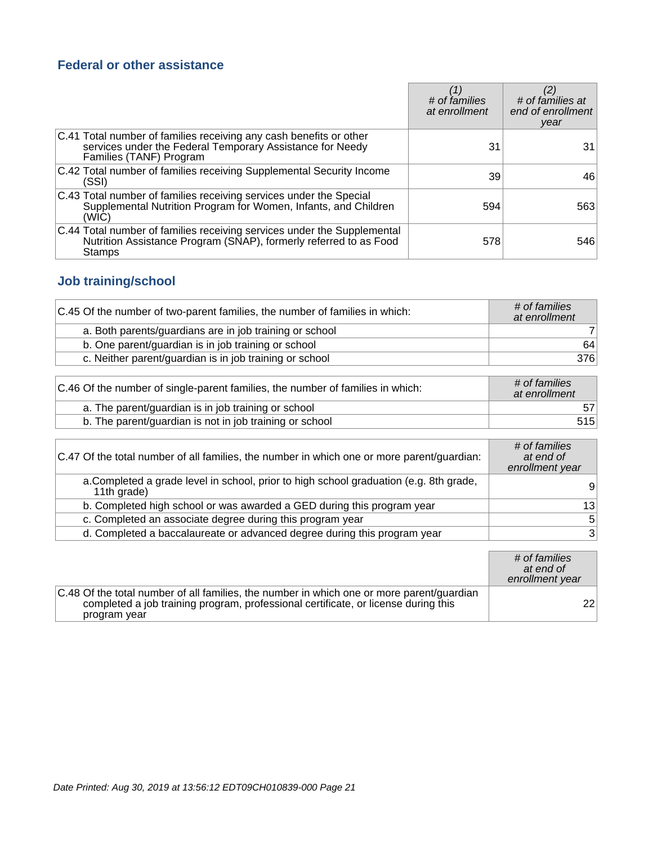## **Federal or other assistance**

|                                                                                                                                                               | # of families<br>at enrollment | # of families at<br>end of enrollment<br>year |
|---------------------------------------------------------------------------------------------------------------------------------------------------------------|--------------------------------|-----------------------------------------------|
| C.41 Total number of families receiving any cash benefits or other<br>services under the Federal Temporary Assistance for Needy<br>Families (TANF) Program    | 31                             | 31                                            |
| C.42 Total number of families receiving Supplemental Security Income<br>(SSI)                                                                                 | 39                             | 46                                            |
| C.43 Total number of families receiving services under the Special<br>Supplemental Nutrition Program for Women, Infants, and Children<br>(WIC)                | 594                            | 563                                           |
| C.44 Total number of families receiving services under the Supplemental<br>Nutrition Assistance Program (SNAP), formerly referred to as Food<br><b>Stamps</b> | 578                            | 546                                           |

## **Job training/school**

| C.45 Of the number of two-parent families, the number of families in which: | # of families<br>at enrollment |
|-----------------------------------------------------------------------------|--------------------------------|
| a. Both parents/guardians are in job training or school                     |                                |
| b. One parent/guardian is in job training or school                         | 64                             |
| c. Neither parent/guardian is in job training or school                     | 376                            |

| C.46 Of the number of single-parent families, the number of families in which: | # of families<br>at enrollment |
|--------------------------------------------------------------------------------|--------------------------------|
| a. The parent/guardian is in job training or school                            | 57                             |
| b. The parent/guardian is not in job training or school                        | 515                            |

| C.47 Of the total number of all families, the number in which one or more parent/guardian:            | # of families<br>at end of<br>enrollment year |
|-------------------------------------------------------------------------------------------------------|-----------------------------------------------|
| a. Completed a grade level in school, prior to high school graduation (e.g. 8th grade,<br>11th grade) | 9                                             |
| b. Completed high school or was awarded a GED during this program year                                | 13                                            |
| c. Completed an associate degree during this program year                                             | $\sqrt{5}$                                    |
| d. Completed a baccalaureate or advanced degree during this program year                              | $\mathbf{3}$                                  |

|                                                                                                                                                                                                 | # of families<br>at end of<br>enrollment year |
|-------------------------------------------------------------------------------------------------------------------------------------------------------------------------------------------------|-----------------------------------------------|
| C.48 Of the total number of all families, the number in which one or more parent/guardian<br>completed a job training program, professional certificate, or license during this<br>program year | 22                                            |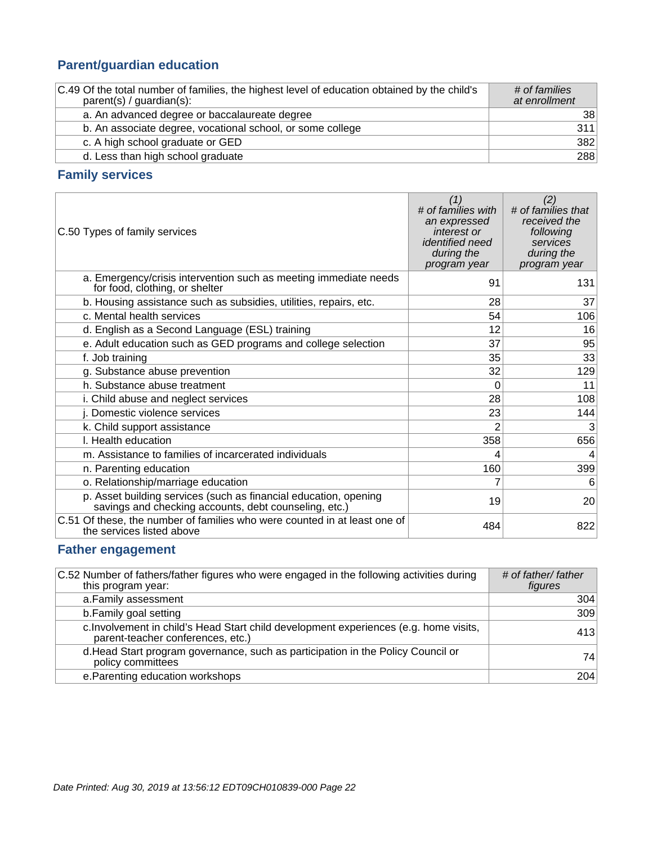## **Parent/guardian education**

| C.49 Of the total number of families, the highest level of education obtained by the child's<br>$parent(s) / quartian(s)$ : | # of families<br>at enrollment |
|-----------------------------------------------------------------------------------------------------------------------------|--------------------------------|
| a. An advanced degree or baccalaureate degree                                                                               | 38                             |
| b. An associate degree, vocational school, or some college                                                                  | 311                            |
| c. A high school graduate or GED                                                                                            | 382                            |
| d. Less than high school graduate                                                                                           | 288                            |

## **Family services**

| C.50 Types of family services                                                                                             | (1)<br># of families with<br>an expressed<br>interest or<br>identified need<br>during the<br>program year | (2)<br># of families that<br>received the<br>following<br>services<br>during the<br>program year |
|---------------------------------------------------------------------------------------------------------------------------|-----------------------------------------------------------------------------------------------------------|--------------------------------------------------------------------------------------------------|
| a. Emergency/crisis intervention such as meeting immediate needs<br>for food, clothing, or shelter                        | 91                                                                                                        | 131                                                                                              |
| b. Housing assistance such as subsidies, utilities, repairs, etc.                                                         | 28                                                                                                        | 37                                                                                               |
| c. Mental health services                                                                                                 | 54                                                                                                        | 106                                                                                              |
| d. English as a Second Language (ESL) training                                                                            | 12                                                                                                        | 16                                                                                               |
| e. Adult education such as GED programs and college selection                                                             | 37                                                                                                        | 95                                                                                               |
| f. Job training                                                                                                           | 35                                                                                                        | 33                                                                                               |
| g. Substance abuse prevention                                                                                             | 32                                                                                                        | 129                                                                                              |
| h. Substance abuse treatment                                                                                              | 0                                                                                                         | 11                                                                                               |
| i. Child abuse and neglect services                                                                                       | 28                                                                                                        | 108                                                                                              |
| j. Domestic violence services                                                                                             | 23                                                                                                        | 144                                                                                              |
| k. Child support assistance                                                                                               | 2                                                                                                         | 3                                                                                                |
| I. Health education                                                                                                       | 358                                                                                                       | 656                                                                                              |
| m. Assistance to families of incarcerated individuals                                                                     | 4                                                                                                         | 4                                                                                                |
| n. Parenting education                                                                                                    | 160                                                                                                       | 399                                                                                              |
| o. Relationship/marriage education                                                                                        | 7                                                                                                         | 6                                                                                                |
| p. Asset building services (such as financial education, opening<br>savings and checking accounts, debt counseling, etc.) | 19                                                                                                        | 20                                                                                               |
| C.51 Of these, the number of families who were counted in at least one of<br>the services listed above                    | 484                                                                                                       | 822                                                                                              |

## **Father engagement**

| C.52 Number of fathers/father figures who were engaged in the following activities during<br>this program year:            | # of father/ father<br>figures |
|----------------------------------------------------------------------------------------------------------------------------|--------------------------------|
| a. Family assessment                                                                                                       | 304                            |
| b. Family goal setting                                                                                                     | 309                            |
| c. Involvement in child's Head Start child development experiences (e.g. home visits,<br>parent-teacher conferences, etc.) | 413                            |
| d. Head Start program governance, such as participation in the Policy Council or<br>policy committees                      | 74                             |
| e. Parenting education workshops                                                                                           | 204                            |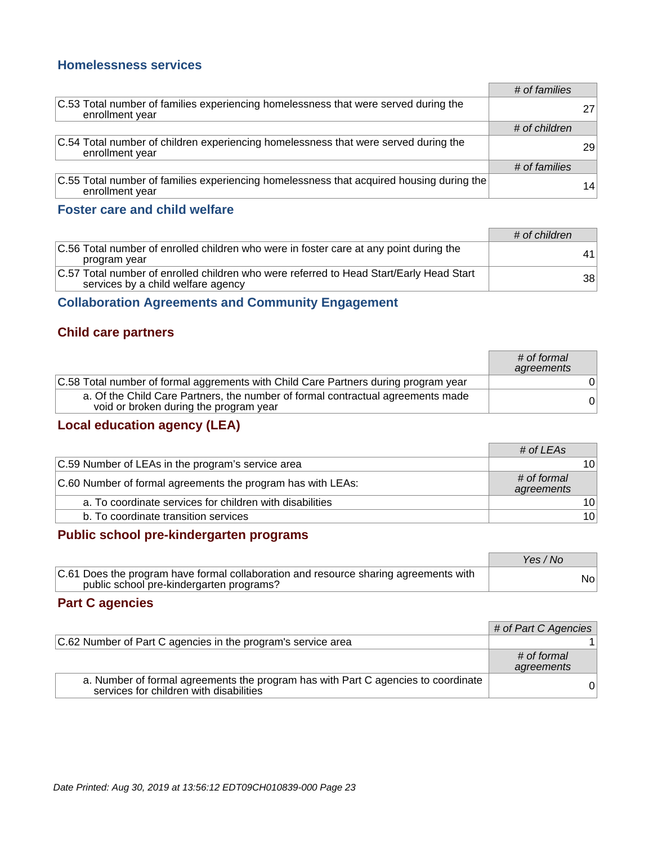#### **Homelessness services**

|                                                                                                                | # of families |    |
|----------------------------------------------------------------------------------------------------------------|---------------|----|
| C.53 Total number of families experiencing homelessness that were served during the<br>enrollment year         |               |    |
|                                                                                                                | # of children |    |
| C.54 Total number of children experiencing homelessness that were served during the<br>enrollment year         |               | 29 |
|                                                                                                                | # of families |    |
| $ C.55$ Total number of families experiencing homelessness that acquired housing during the<br>enrollment year |               | 14 |

#### **Foster care and child welfare**

|                                                                                                                               | # of children |
|-------------------------------------------------------------------------------------------------------------------------------|---------------|
| C.56 Total number of enrolled children who were in foster care at any point during the<br>program year                        | 41            |
| C.57 Total number of enrolled children who were referred to Head Start/Early Head Start<br>services by a child welfare agency | 38            |

## **Collaboration Agreements and Community Engagement**

### **Child care partners**

|                                                                                                                           | # of formal<br>agreements |
|---------------------------------------------------------------------------------------------------------------------------|---------------------------|
| C.58 Total number of formal aggrements with Child Care Partners during program year                                       |                           |
| a. Of the Child Care Partners, the number of formal contractual agreements made<br>void or broken during the program year | 0                         |

## **Local education agency (LEA)**

|                                                             | # of LEAs                 |                 |
|-------------------------------------------------------------|---------------------------|-----------------|
| C.59 Number of LEAs in the program's service area           |                           | 10              |
| C.60 Number of formal agreements the program has with LEAs: | # of formal<br>agreements |                 |
| a. To coordinate services for children with disabilities    |                           | 10 <sup>1</sup> |
| b. To coordinate transition services                        |                           | 10 <sup>1</sup> |

### **Public school pre-kindergarten programs**

|                                                                                                                                  | Yes / No |
|----------------------------------------------------------------------------------------------------------------------------------|----------|
| C.61 Does the program have formal collaboration and resource sharing agreements with<br>public school pre-kindergarten programs? | Nol      |

#### **Part C agencies**

|                                                                                                                              | # of Part C Agencies      |
|------------------------------------------------------------------------------------------------------------------------------|---------------------------|
| C.62 Number of Part C agencies in the program's service area                                                                 |                           |
|                                                                                                                              | # of formal<br>agreements |
| a. Number of formal agreements the program has with Part C agencies to coordinate<br>services for children with disabilities |                           |